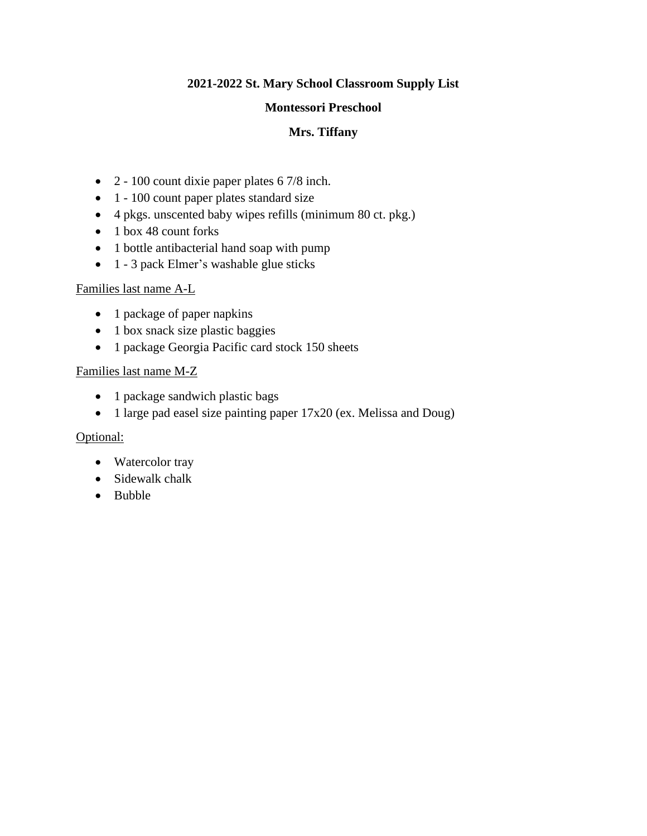#### **Montessori Preschool**

# **Mrs. Tiffany**

- 2 100 count dixie paper plates 6 7/8 inch.
- 1 100 count paper plates standard size
- 4 pkgs. unscented baby wipes refills (minimum 80 ct. pkg.)
- 1 box 48 count forks
- 1 bottle antibacterial hand soap with pump
- 1 3 pack Elmer's washable glue sticks

#### Families last name A-L

- 1 package of paper napkins
- 1 box snack size plastic baggies
- 1 package Georgia Pacific card stock 150 sheets

### Families last name M-Z

- 1 package sandwich plastic bags
- 1 large pad easel size painting paper  $17x20$  (ex. Melissa and Doug)

### Optional:

- Watercolor tray
- Sidewalk chalk
- Bubble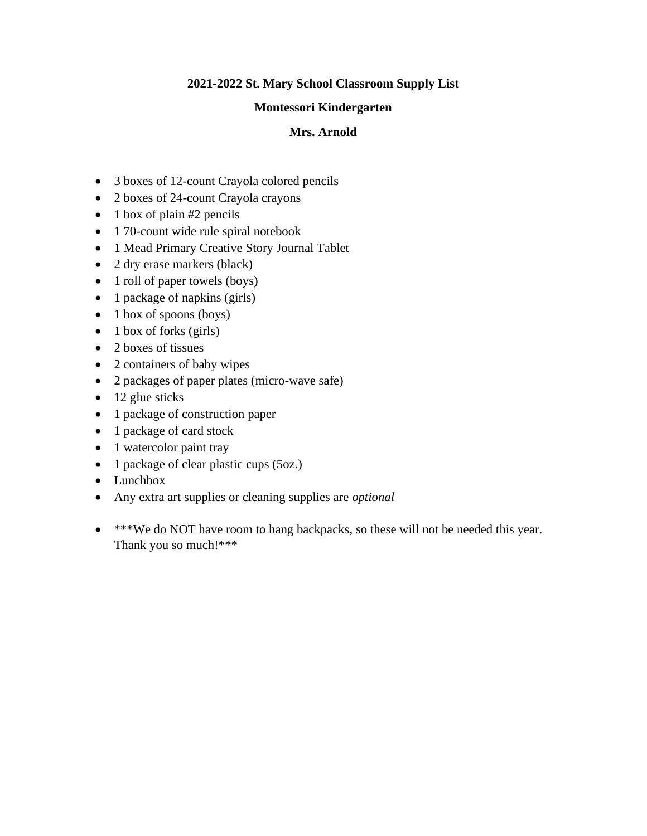#### **Montessori Kindergarten**

# **Mrs. Arnold**

- 3 boxes of 12-count Crayola colored pencils
- 2 boxes of 24-count Crayola crayons
- $\bullet$  1 box of plain #2 pencils
- 1 70-count wide rule spiral notebook
- 1 Mead Primary Creative Story Journal Tablet
- 2 dry erase markers (black)
- 1 roll of paper towels (boys)
- 1 package of napkins (girls)
- $\bullet$  1 box of spoons (boys)
- $\bullet$  1 box of forks (girls)
- 2 boxes of tissues
- 2 containers of baby wipes
- 2 packages of paper plates (micro-wave safe)
- $\bullet$  12 glue sticks
- 1 package of construction paper
- 1 package of card stock
- 1 watercolor paint tray
- 1 package of clear plastic cups (5oz.)
- Lunchbox
- Any extra art supplies or cleaning supplies are *optional*
- \*\*\*We do NOT have room to hang backpacks, so these will not be needed this year. Thank you so much!\*\*\*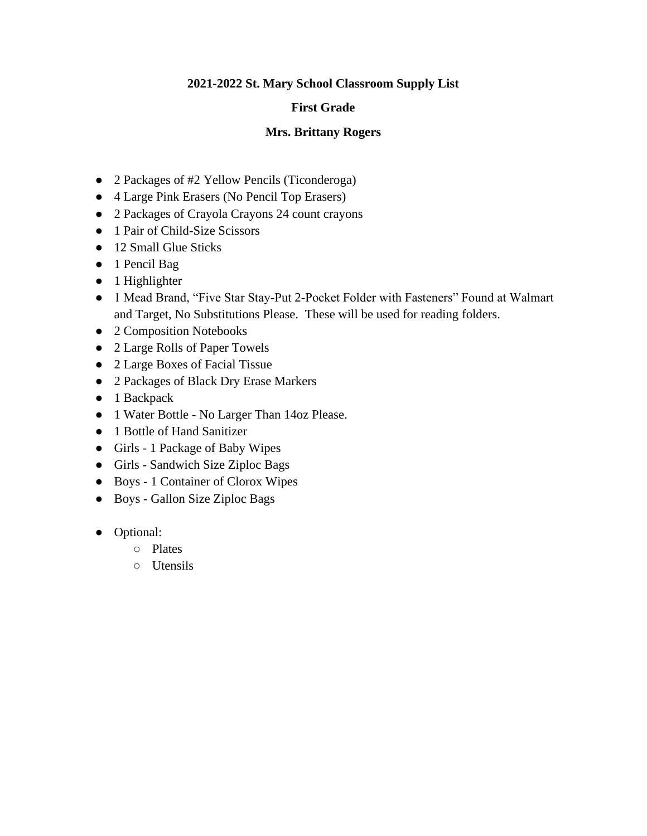# **First Grade**

# **Mrs. Brittany Rogers**

- 2 Packages of #2 Yellow Pencils (Ticonderoga)
- 4 Large Pink Erasers (No Pencil Top Erasers)
- 2 Packages of Crayola Crayons 24 count crayons
- 1 Pair of Child-Size Scissors
- 12 Small Glue Sticks
- 1 Pencil Bag
- 1 Highlighter
- 1 Mead Brand, "Five Star Stay-Put 2-Pocket Folder with Fasteners" Found at Walmart and Target, No Substitutions Please. These will be used for reading folders.
- 2 Composition Notebooks
- 2 Large Rolls of Paper Towels
- 2 Large Boxes of Facial Tissue
- 2 Packages of Black Dry Erase Markers
- 1 Backpack
- 1 Water Bottle No Larger Than 14oz Please.
- 1 Bottle of Hand Sanitizer
- Girls 1 Package of Baby Wipes
- Girls Sandwich Size Ziploc Bags
- Boys 1 Container of Clorox Wipes
- Boys Gallon Size Ziploc Bags
- Optional:
	- Plates
	- Utensils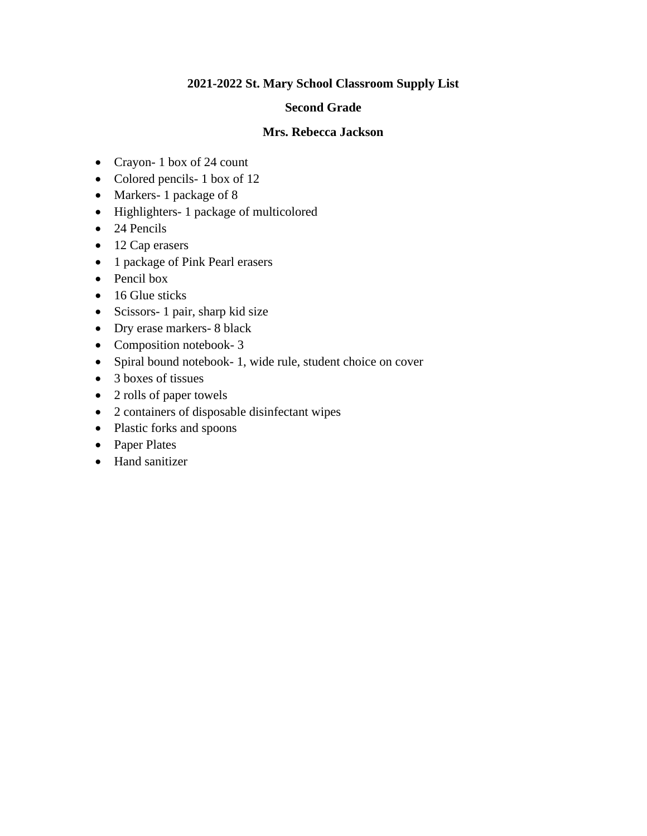#### **Second Grade**

#### **Mrs. Rebecca Jackson**

- Crayon- 1 box of 24 count
- Colored pencils- 1 box of 12
- Markers- 1 package of 8
- Highlighters- 1 package of multicolored
- 24 Pencils
- 12 Cap erasers
- 1 package of Pink Pearl erasers
- Pencil box
- 16 Glue sticks
- Scissors- 1 pair, sharp kid size
- Dry erase markers- 8 black
- Composition notebook- 3
- Spiral bound notebook- 1, wide rule, student choice on cover
- 3 boxes of tissues
- 2 rolls of paper towels
- 2 containers of disposable disinfectant wipes
- Plastic forks and spoons
- Paper Plates
- Hand sanitizer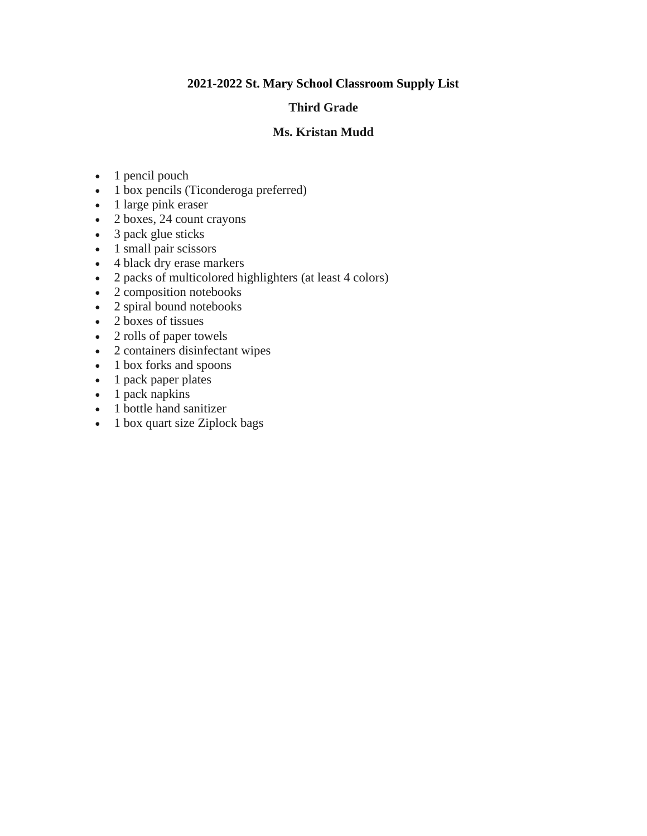#### **Third Grade**

#### **Ms. Kristan Mudd**

- 1 pencil pouch
- 1 box pencils (Ticonderoga preferred)
- 1 large pink eraser
- 2 boxes, 24 count crayons
- 3 pack glue sticks
- 1 small pair scissors
- 4 black dry erase markers
- 2 packs of multicolored highlighters (at least 4 colors)
- 2 composition notebooks
- 2 spiral bound notebooks
- 2 boxes of tissues
- 2 rolls of paper towels
- 2 containers disinfectant wipes
- 1 box forks and spoons
- 1 pack paper plates
- 1 pack napkins
- 1 bottle hand sanitizer
- 1 box quart size Ziplock bags